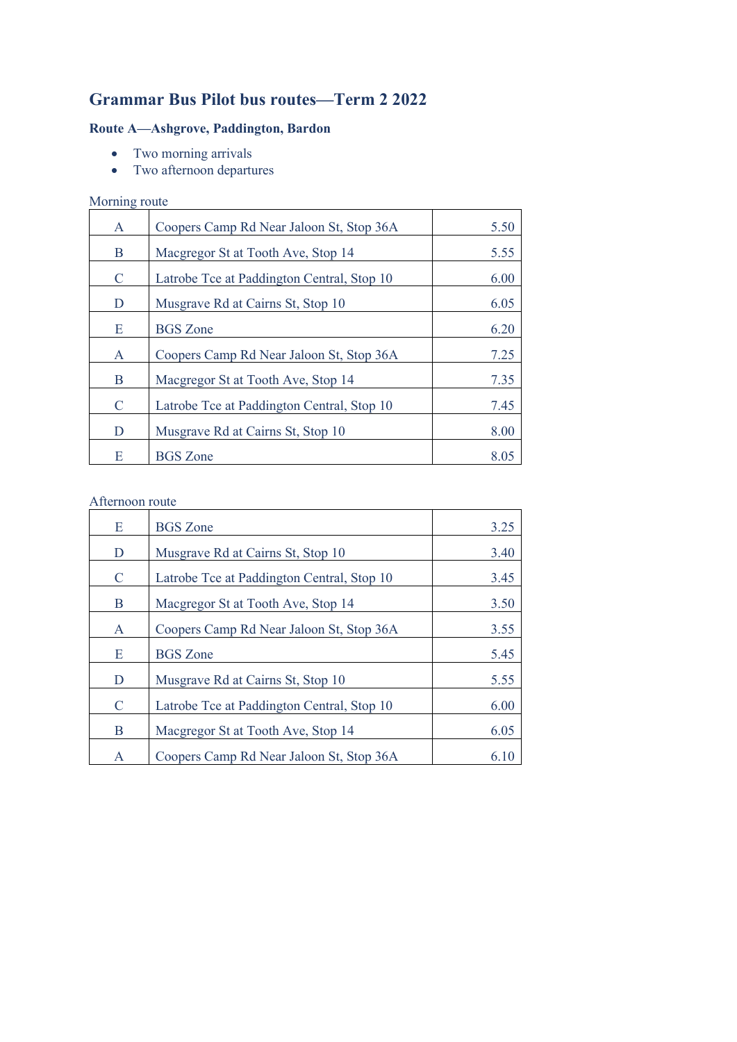# **Grammar Bus Pilot bus routes—Term 2 2022**

## **Route A—Ashgrove, Paddington, Bardon**

- Two morning arrivals
- Two afternoon departures

## Morning route

| $\mathsf{A}$ | Coopers Camp Rd Near Jaloon St, Stop 36A   | 5.50 |
|--------------|--------------------------------------------|------|
| B            | Macgregor St at Tooth Ave, Stop 14         | 5.55 |
| C            | Latrobe Tce at Paddington Central, Stop 10 | 6.00 |
| D            | Musgrave Rd at Cairns St, Stop 10          | 6.05 |
| E            | <b>BGS</b> Zone                            | 6.20 |
| $\mathsf{A}$ | Coopers Camp Rd Near Jaloon St, Stop 36A   | 7.25 |
| B            | Macgregor St at Tooth Ave, Stop 14         | 7.35 |
| C            | Latrobe Tce at Paddington Central, Stop 10 | 7.45 |
| D            | Musgrave Rd at Cairns St, Stop 10          | 8.00 |
| E            | <b>BGS</b> Zone                            | 8.05 |

### Afternoon route

| Ε             | <b>BGS</b> Zone                            | 3.25 |
|---------------|--------------------------------------------|------|
| D             | Musgrave Rd at Cairns St, Stop 10          | 3.40 |
| $\mathcal{C}$ | Latrobe Tce at Paddington Central, Stop 10 | 3.45 |
| B             | Macgregor St at Tooth Ave, Stop 14         | 3.50 |
| $\mathbf{A}$  | Coopers Camp Rd Near Jaloon St, Stop 36A   | 3.55 |
| Ε             | <b>BGS</b> Zone                            | 5.45 |
| D             | Musgrave Rd at Cairns St, Stop 10          | 5.55 |
| C             | Latrobe Tce at Paddington Central, Stop 10 | 6.00 |
| B             | Macgregor St at Tooth Ave, Stop 14         | 6.05 |
| A             | Coopers Camp Rd Near Jaloon St, Stop 36A   | 6.10 |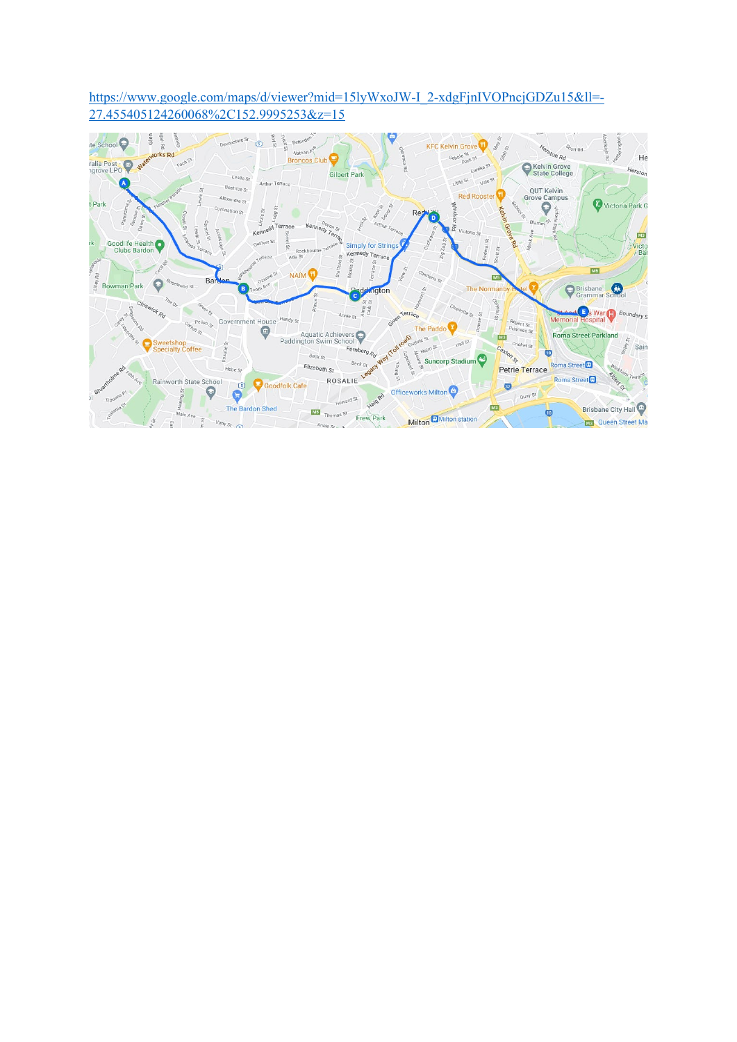https://www.google.com/maps/d/viewer?mid=15lyWxoJW-I 2-xdgFjnIVOPncjGDZu15&ll=-27.455405124260068%2C152.9995253&z=15

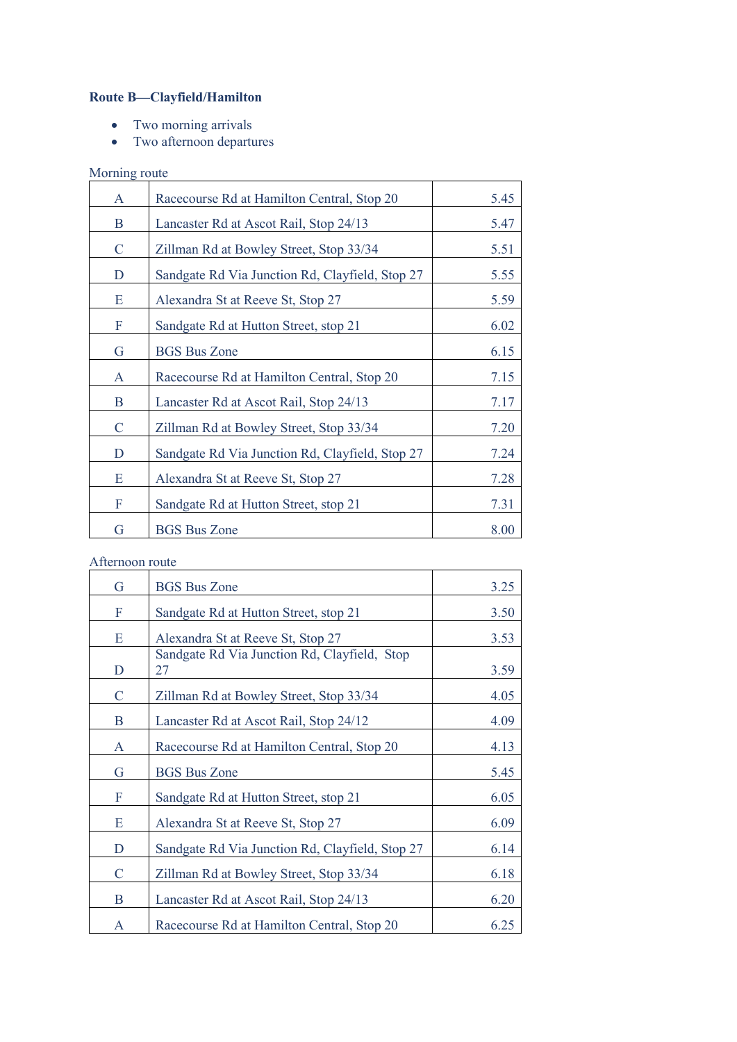## **Route B—Clayfield/Hamilton**

- Two morning arrivals
- Two afternoon departures

| Morning route |                                                 |      |
|---------------|-------------------------------------------------|------|
| A             | Racecourse Rd at Hamilton Central, Stop 20      | 5.45 |
| B             | Lancaster Rd at Ascot Rail, Stop 24/13          | 5.47 |
| $\mathcal{C}$ | Zillman Rd at Bowley Street, Stop 33/34         | 5.51 |
| D             | Sandgate Rd Via Junction Rd, Clayfield, Stop 27 | 5.55 |
| E             | Alexandra St at Reeve St, Stop 27               | 5.59 |
| $\mathbf F$   | Sandgate Rd at Hutton Street, stop 21           | 6.02 |
| G             | <b>BGS Bus Zone</b>                             | 6.15 |
| $\mathbf{A}$  | Racecourse Rd at Hamilton Central, Stop 20      | 7.15 |
| B             | Lancaster Rd at Ascot Rail, Stop 24/13          | 7.17 |
| $\mathsf{C}$  | Zillman Rd at Bowley Street, Stop 33/34         | 7.20 |
| D             | Sandgate Rd Via Junction Rd, Clayfield, Stop 27 | 7.24 |
| E             | Alexandra St at Reeve St, Stop 27               | 7.28 |
| F             | Sandgate Rd at Hutton Street, stop 21           | 7.31 |
| G             | <b>BGS Bus Zone</b>                             | 8.00 |

#### Afternoon route

| G            | <b>BGS Bus Zone</b>                                | 3.25 |
|--------------|----------------------------------------------------|------|
| F            | Sandgate Rd at Hutton Street, stop 21              | 3.50 |
| Ε            | Alexandra St at Reeve St, Stop 27                  | 3.53 |
| D            | Sandgate Rd Via Junction Rd, Clayfield, Stop<br>27 | 3.59 |
| $\mathsf{C}$ | Zillman Rd at Bowley Street, Stop 33/34            | 4.05 |
| B            | Lancaster Rd at Ascot Rail, Stop 24/12             | 4.09 |
| $\mathbf{A}$ | Racecourse Rd at Hamilton Central, Stop 20         | 4.13 |
| G            | <b>BGS Bus Zone</b>                                | 5.45 |
| F            | Sandgate Rd at Hutton Street, stop 21              | 6.05 |
| E            | Alexandra St at Reeve St, Stop 27                  | 6.09 |
| D            | Sandgate Rd Via Junction Rd, Clayfield, Stop 27    | 6.14 |
| $\mathsf{C}$ | Zillman Rd at Bowley Street, Stop 33/34            | 6.18 |
| B            | Lancaster Rd at Ascot Rail, Stop 24/13             | 6.20 |
| A            | Racecourse Rd at Hamilton Central, Stop 20         | 6.25 |